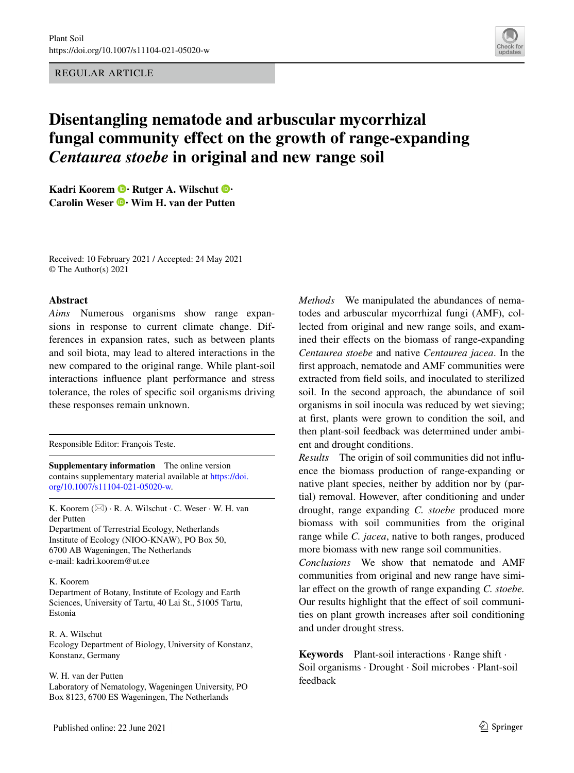REGULAR ARTICLE



# **Disentangling nematode and arbuscular mycorrhizal fungal community effect on the growth of range‑expanding**  *Centaurea stoebe* **in original and new range soil**

**KadriKoorem**  $\bullet$  **Rutger A. Wilschut**  $\bullet$ **CarolinWeser <sup>•</sup> Wim H. van der Putten** 

Received: 10 February 2021 / Accepted: 24 May 2021 © The Author(s) 2021

## **Abstract**

*Aims* Numerous organisms show range expansions in response to current climate change. Differences in expansion rates, such as between plants and soil biota, may lead to altered interactions in the new compared to the original range. While plant-soil interactions infuence plant performance and stress tolerance, the roles of specifc soil organisms driving these responses remain unknown.

Responsible Editor: François Teste.

**Supplementary information** The online version contains supplementary material available at [https://doi.](https://doi.org/10.1007/s11104-021-05020-w) [org/10.1007/s11104-021-05020-w.](https://doi.org/10.1007/s11104-021-05020-w)

K. Koorem  $(\boxtimes) \cdot R$ . A. Wilschut  $\cdot C$ . Weser  $\cdot W$ . H. van der Putten

Department of Terrestrial Ecology, Netherlands Institute of Ecology (NIOO-KNAW), PO Box 50, 6700 AB Wageningen, The Netherlands e-mail: kadri.koorem@ut.ee

## K. Koorem

Department of Botany, Institute of Ecology and Earth Sciences, University of Tartu, 40 Lai St., 51005 Tartu, Estonia

## R. A. Wilschut Ecology Department of Biology, University of Konstanz, Konstanz, Germany

#### W. H. van der Putten

Laboratory of Nematology, Wageningen University, PO Box 8123, 6700 ES Wageningen, The Netherlands

*Methods* We manipulated the abundances of nematodes and arbuscular mycorrhizal fungi (AMF), collected from original and new range soils, and examined their effects on the biomass of range-expanding *Centaurea stoebe* and native *Centaurea jacea*. In the frst approach, nematode and AMF communities were extracted from feld soils, and inoculated to sterilized soil. In the second approach, the abundance of soil organisms in soil inocula was reduced by wet sieving; at frst, plants were grown to condition the soil, and then plant-soil feedback was determined under ambient and drought conditions.

*Results* The origin of soil communities did not infuence the biomass production of range-expanding or native plant species, neither by addition nor by (partial) removal. However, after conditioning and under drought, range expanding *C. stoebe* produced more biomass with soil communities from the original range while *C. jacea*, native to both ranges, produced more biomass with new range soil communities.

*Conclusions* We show that nematode and AMF communities from original and new range have similar effect on the growth of range expanding *C. stoebe*. Our results highlight that the efect of soil communities on plant growth increases after soil conditioning and under drought stress.

**Keywords** Plant-soil interactions · Range shift · Soil organisms · Drought · Soil microbes · Plant-soil feedback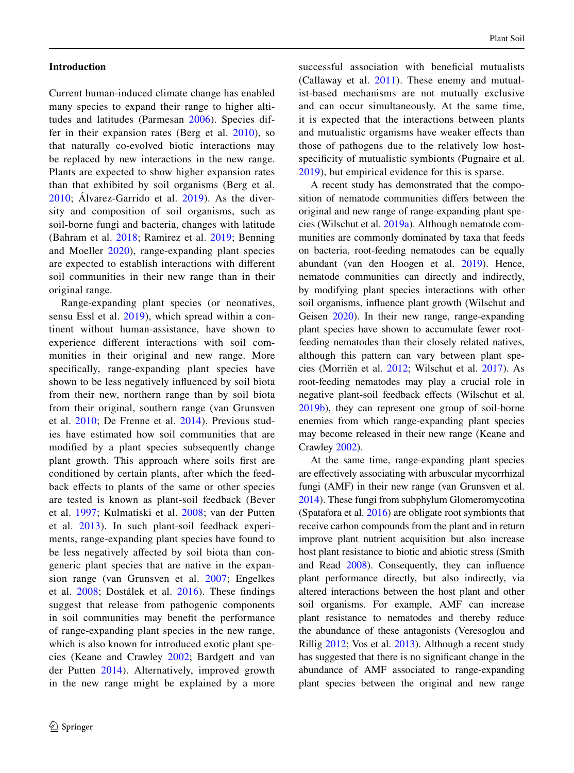## **Introduction**

Current human-induced climate change has enabled many species to expand their range to higher altitudes and latitudes (Parmesan [2006\)](#page-13-0). Species differ in their expansion rates (Berg et al. [2010\)](#page-12-0), so that naturally co-evolved biotic interactions may be replaced by new interactions in the new range. Plants are expected to show higher expansion rates than that exhibited by soil organisms (Berg et al. [2010](#page-12-0); Álvarez-Garrido et al. [2019](#page-12-1)). As the diversity and composition of soil organisms, such as soil-borne fungi and bacteria, changes with latitude (Bahram et al. [2018](#page-12-2); Ramirez et al. [2019](#page-13-1); Benning and Moeller [2020\)](#page-12-3), range-expanding plant species are expected to establish interactions with diferent soil communities in their new range than in their original range.

Range-expanding plant species (or neonatives, sensu Essl et al. [2019](#page-12-4)), which spread within a continent without human-assistance, have shown to experience diferent interactions with soil communities in their original and new range. More specifcally, range-expanding plant species have shown to be less negatively infuenced by soil biota from their new, northern range than by soil biota from their original, southern range (van Grunsven et al. [2010](#page-13-2); De Frenne et al. [2014](#page-12-5)). Previous studies have estimated how soil communities that are modifed by a plant species subsequently change plant growth. This approach where soils frst are conditioned by certain plants, after which the feedback efects to plants of the same or other species are tested is known as plant-soil feedback (Bever et al. [1997](#page-12-6); Kulmatiski et al. [2008;](#page-13-3) van der Putten et al. [2013](#page-13-4)). In such plant-soil feedback experiments, range-expanding plant species have found to be less negatively afected by soil biota than congeneric plant species that are native in the expansion range (van Grunsven et al. [2007](#page-13-5); Engelkes et al. [2008;](#page-12-7) Dostálek et al. [2016](#page-12-8)). These fndings suggest that release from pathogenic components in soil communities may beneft the performance of range-expanding plant species in the new range, which is also known for introduced exotic plant species (Keane and Crawley [2002;](#page-12-9) Bardgett and van der Putten [2014\)](#page-12-10). Alternatively, improved growth in the new range might be explained by a more successful association with benefcial mutualists (Callaway et al.  $2011$ ). These enemy and mutualist-based mechanisms are not mutually exclusive and can occur simultaneously. At the same time, it is expected that the interactions between plants and mutualistic organisms have weaker efects than those of pathogens due to the relatively low hostspecificity of mutualistic symbionts (Pugnaire et al. [2019](#page-13-6)), but empirical evidence for this is sparse.

A recent study has demonstrated that the composition of nematode communities difers between the original and new range of range-expanding plant species (Wilschut et al. [2019a](#page-14-0)). Although nematode communities are commonly dominated by taxa that feeds on bacteria, root-feeding nematodes can be equally abundant (van den Hoogen et al. [2019](#page-13-7)). Hence, nematode communities can directly and indirectly, by modifying plant species interactions with other soil organisms, infuence plant growth (Wilschut and Geisen [2020](#page-14-1)). In their new range, range-expanding plant species have shown to accumulate fewer rootfeeding nematodes than their closely related natives, although this pattern can vary between plant species (Morriën et al. [2012;](#page-13-8) Wilschut et al. [2017\)](#page-14-2). As root-feeding nematodes may play a crucial role in negative plant-soil feedback efects (Wilschut et al. [2019b\)](#page-14-3), they can represent one group of soil-borne enemies from which range-expanding plant species may become released in their new range (Keane and Crawley [2002](#page-12-9)).

At the same time, range-expanding plant species are efectively associating with arbuscular mycorrhizal fungi (AMF) in their new range (van Grunsven et al. [2014\)](#page-13-9). These fungi from subphylum Glomeromycotina (Spatafora et al. [2016\)](#page-13-10) are obligate root symbionts that receive carbon compounds from the plant and in return improve plant nutrient acquisition but also increase host plant resistance to biotic and abiotic stress (Smith and Read [2008](#page-13-11)). Consequently, they can infuence plant performance directly, but also indirectly, via altered interactions between the host plant and other soil organisms. For example, AMF can increase plant resistance to nematodes and thereby reduce the abundance of these antagonists (Veresoglou and Rillig [2012](#page-13-12); Vos et al. [2013\)](#page-13-13). Although a recent study has suggested that there is no signifcant change in the abundance of AMF associated to range-expanding plant species between the original and new range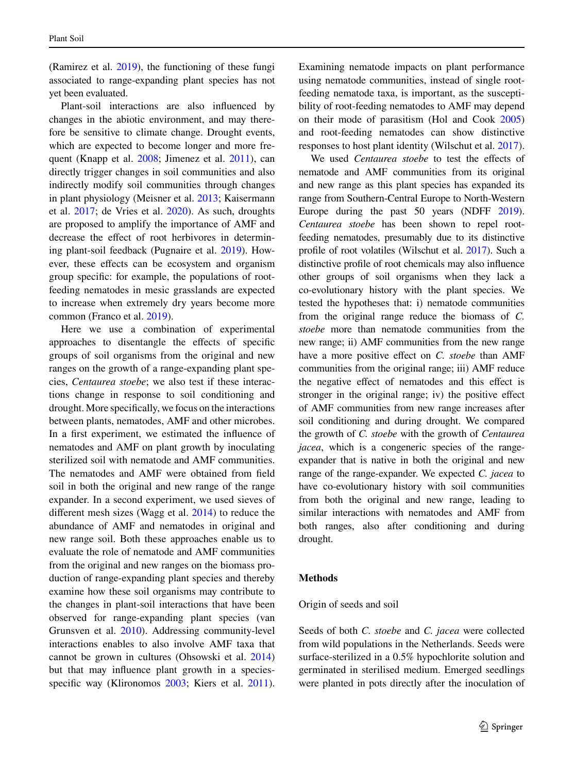(Ramirez et al. [2019\)](#page-13-1), the functioning of these fungi associated to range-expanding plant species has not yet been evaluated.

Plant-soil interactions are also infuenced by changes in the abiotic environment, and may therefore be sensitive to climate change. Drought events, which are expected to become longer and more fre-quent (Knapp et al. [2008](#page-12-12); Jimenez et al. [2011\)](#page-12-13), can directly trigger changes in soil communities and also indirectly modify soil communities through changes in plant physiology (Meisner et al. [2013](#page-13-14); Kaisermann et al. [2017;](#page-12-14) de Vries et al. [2020\)](#page-12-15). As such, droughts are proposed to amplify the importance of AMF and decrease the efect of root herbivores in determining plant-soil feedback (Pugnaire et al. [2019](#page-13-6)). However, these efects can be ecosystem and organism group specifc: for example, the populations of rootfeeding nematodes in mesic grasslands are expected to increase when extremely dry years become more common (Franco et al. [2019\)](#page-12-16).

Here we use a combination of experimental approaches to disentangle the efects of specifc groups of soil organisms from the original and new ranges on the growth of a range-expanding plant species, *Centaurea stoebe*; we also test if these interactions change in response to soil conditioning and drought. More specifcally, we focus on the interactions between plants, nematodes, AMF and other microbes. In a frst experiment, we estimated the infuence of nematodes and AMF on plant growth by inoculating sterilized soil with nematode and AMF communities. The nematodes and AMF were obtained from feld soil in both the original and new range of the range expander. In a second experiment, we used sieves of diferent mesh sizes (Wagg et al. [2014\)](#page-13-15) to reduce the abundance of AMF and nematodes in original and new range soil. Both these approaches enable us to evaluate the role of nematode and AMF communities from the original and new ranges on the biomass production of range-expanding plant species and thereby examine how these soil organisms may contribute to the changes in plant-soil interactions that have been observed for range-expanding plant species (van Grunsven et al. [2010\)](#page-13-2). Addressing community-level interactions enables to also involve AMF taxa that cannot be grown in cultures (Ohsowski et al. [2014\)](#page-13-16) but that may infuence plant growth in a species-specific way (Klironomos [2003;](#page-12-17) Kiers et al. [2011](#page-12-18)).

Examining nematode impacts on plant performance using nematode communities, instead of single rootfeeding nematode taxa, is important, as the susceptibility of root-feeding nematodes to AMF may depend on their mode of parasitism (Hol and Cook [2005](#page-12-19)) and root-feeding nematodes can show distinctive responses to host plant identity (Wilschut et al. [2017\)](#page-14-2).

We used *Centaurea stoebe* to test the effects of nematode and AMF communities from its original and new range as this plant species has expanded its range from Southern-Central Europe to North-Western Europe during the past 50 years (NDFF [2019\)](#page-13-17). *Centaurea stoebe* has been shown to repel rootfeeding nematodes, presumably due to its distinctive profle of root volatiles (Wilschut et al. [2017](#page-14-2)). Such a distinctive profle of root chemicals may also infuence other groups of soil organisms when they lack a co-evolutionary history with the plant species. We tested the hypotheses that: i) nematode communities from the original range reduce the biomass of *C. stoebe* more than nematode communities from the new range; ii) AMF communities from the new range have a more positive effect on *C. stoebe* than AMF communities from the original range; iii) AMF reduce the negative efect of nematodes and this efect is stronger in the original range; iv) the positive efect of AMF communities from new range increases after soil conditioning and during drought. We compared the growth of *C. stoebe* with the growth of *Centaurea jacea*, which is a congeneric species of the rangeexpander that is native in both the original and new range of the range-expander. We expected *C. jacea* to have co-evolutionary history with soil communities from both the original and new range, leading to similar interactions with nematodes and AMF from both ranges, also after conditioning and during drought.

## **Methods**

#### Origin of seeds and soil

Seeds of both *C. stoebe* and *C. jacea* were collected from wild populations in the Netherlands. Seeds were surface-sterilized in a 0.5% hypochlorite solution and germinated in sterilised medium. Emerged seedlings were planted in pots directly after the inoculation of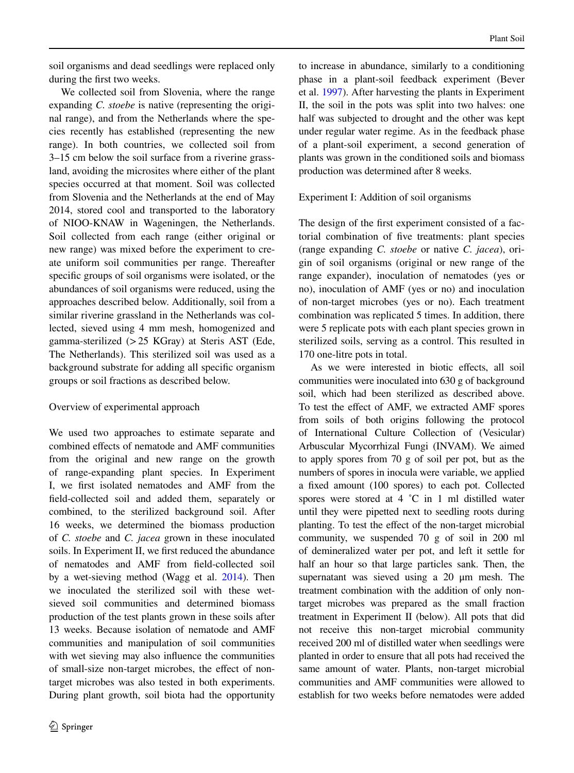soil organisms and dead seedlings were replaced only during the frst two weeks.

We collected soil from Slovenia, where the range expanding *C. stoebe* is native (representing the original range), and from the Netherlands where the species recently has established (representing the new range). In both countries, we collected soil from 3–15 cm below the soil surface from a riverine grassland, avoiding the microsites where either of the plant species occurred at that moment. Soil was collected from Slovenia and the Netherlands at the end of May 2014, stored cool and transported to the laboratory of NIOO-KNAW in Wageningen, the Netherlands. Soil collected from each range (either original or new range) was mixed before the experiment to create uniform soil communities per range. Thereafter specifc groups of soil organisms were isolated, or the abundances of soil organisms were reduced, using the approaches described below. Additionally, soil from a similar riverine grassland in the Netherlands was collected, sieved using 4 mm mesh, homogenized and gamma-sterilized (>25 KGray) at Steris AST (Ede, The Netherlands). This sterilized soil was used as a background substrate for adding all specifc organism groups or soil fractions as described below.

# Overview of experimental approach

We used two approaches to estimate separate and combined efects of nematode and AMF communities from the original and new range on the growth of range-expanding plant species. In Experiment I, we frst isolated nematodes and AMF from the feld-collected soil and added them, separately or combined, to the sterilized background soil. After 16 weeks, we determined the biomass production of *C. stoebe* and *C. jacea* grown in these inoculated soils. In Experiment II, we frst reduced the abundance of nematodes and AMF from feld-collected soil by a wet-sieving method (Wagg et al. [2014](#page-13-15)). Then we inoculated the sterilized soil with these wetsieved soil communities and determined biomass production of the test plants grown in these soils after 13 weeks. Because isolation of nematode and AMF communities and manipulation of soil communities with wet sieving may also infuence the communities of small-size non-target microbes, the efect of nontarget microbes was also tested in both experiments. During plant growth, soil biota had the opportunity to increase in abundance, similarly to a conditioning phase in a plant-soil feedback experiment (Bever et al. [1997\)](#page-12-6). After harvesting the plants in Experiment II, the soil in the pots was split into two halves: one half was subjected to drought and the other was kept under regular water regime. As in the feedback phase of a plant-soil experiment, a second generation of plants was grown in the conditioned soils and biomass production was determined after 8 weeks.

# Experiment I: Addition of soil organisms

The design of the frst experiment consisted of a factorial combination of fve treatments: plant species (range expanding *C. stoebe* or native *C. jacea*), origin of soil organisms (original or new range of the range expander), inoculation of nematodes (yes or no), inoculation of AMF (yes or no) and inoculation of non-target microbes (yes or no). Each treatment combination was replicated 5 times. In addition, there were 5 replicate pots with each plant species grown in sterilized soils, serving as a control. This resulted in 170 one-litre pots in total.

As we were interested in biotic efects, all soil communities were inoculated into 630 g of background soil, which had been sterilized as described above. To test the efect of AMF, we extracted AMF spores from soils of both origins following the protocol of International Culture Collection of (Vesicular) Arbuscular Mycorrhizal Fungi (INVAM). We aimed to apply spores from 70 g of soil per pot, but as the numbers of spores in inocula were variable, we applied a fxed amount (100 spores) to each pot. Collected spores were stored at 4 °C in 1 ml distilled water until they were pipetted next to seedling roots during planting. To test the efect of the non-target microbial community, we suspended 70 g of soil in 200 ml of demineralized water per pot, and left it settle for half an hour so that large particles sank. Then, the supernatant was sieved using a 20 μm mesh. The treatment combination with the addition of only nontarget microbes was prepared as the small fraction treatment in Experiment II (below). All pots that did not receive this non-target microbial community received 200 ml of distilled water when seedlings were planted in order to ensure that all pots had received the same amount of water. Plants, non-target microbial communities and AMF communities were allowed to establish for two weeks before nematodes were added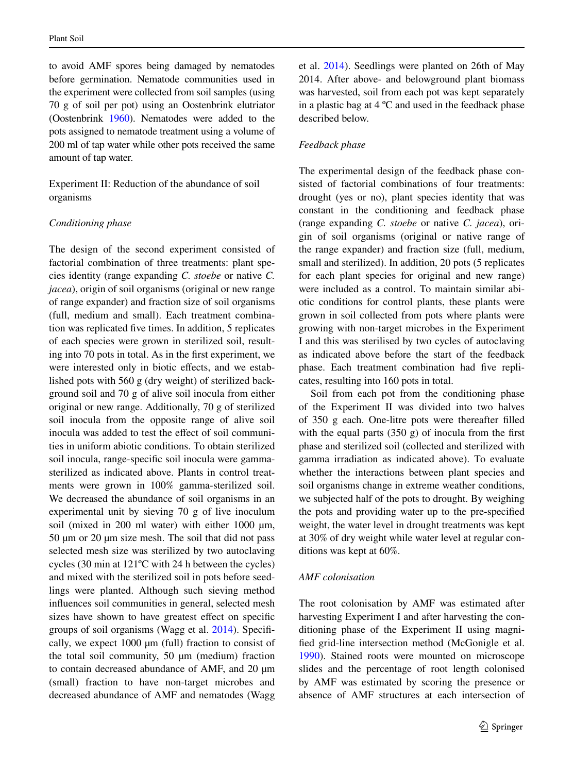to avoid AMF spores being damaged by nematodes before germination. Nematode communities used in the experiment were collected from soil samples (using 70 g of soil per pot) using an Oostenbrink elutriator (Oostenbrink [1960\)](#page-13-18). Nematodes were added to the pots assigned to nematode treatment using a volume of 200 ml of tap water while other pots received the same amount of tap water.

Experiment II: Reduction of the abundance of soil organisms

## *Conditioning phase*

The design of the second experiment consisted of factorial combination of three treatments: plant species identity (range expanding *C. stoebe* or native *C. jacea*), origin of soil organisms (original or new range of range expander) and fraction size of soil organisms (full, medium and small). Each treatment combination was replicated fve times. In addition, 5 replicates of each species were grown in sterilized soil, resulting into 70 pots in total. As in the frst experiment, we were interested only in biotic efects, and we established pots with 560 g (dry weight) of sterilized background soil and 70 g of alive soil inocula from either original or new range. Additionally, 70 g of sterilized soil inocula from the opposite range of alive soil inocula was added to test the effect of soil communities in uniform abiotic conditions. To obtain sterilized soil inocula, range-specifc soil inocula were gammasterilized as indicated above. Plants in control treatments were grown in 100% gamma-sterilized soil. We decreased the abundance of soil organisms in an experimental unit by sieving 70 g of live inoculum soil (mixed in 200 ml water) with either  $1000 \mu m$ , 50 µm or 20 µm size mesh. The soil that did not pass selected mesh size was sterilized by two autoclaving cycles (30 min at 121ºC with 24 h between the cycles) and mixed with the sterilized soil in pots before seedlings were planted. Although such sieving method infuences soil communities in general, selected mesh sizes have shown to have greatest effect on specific groups of soil organisms (Wagg et al. [2014](#page-13-15)). Specifcally, we expect 1000 µm (full) fraction to consist of the total soil community,  $50 \mu m$  (medium) fraction to contain decreased abundance of AMF, and 20 µm (small) fraction to have non-target microbes and decreased abundance of AMF and nematodes (Wagg

et al. [2014\)](#page-13-15). Seedlings were planted on 26th of May 2014. After above- and belowground plant biomass was harvested, soil from each pot was kept separately in a plastic bag at 4 ºC and used in the feedback phase described below.

## *Feedback phase*

The experimental design of the feedback phase consisted of factorial combinations of four treatments: drought (yes or no), plant species identity that was constant in the conditioning and feedback phase (range expanding *C. stoebe* or native *C. jacea*), origin of soil organisms (original or native range of the range expander) and fraction size (full, medium, small and sterilized). In addition, 20 pots (5 replicates for each plant species for original and new range) were included as a control. To maintain similar abiotic conditions for control plants, these plants were grown in soil collected from pots where plants were growing with non-target microbes in the Experiment I and this was sterilised by two cycles of autoclaving as indicated above before the start of the feedback phase. Each treatment combination had fve replicates, resulting into 160 pots in total.

Soil from each pot from the conditioning phase of the Experiment II was divided into two halves of 350 g each. One-litre pots were thereafter flled with the equal parts  $(350 \text{ g})$  of inocula from the first phase and sterilized soil (collected and sterilized with gamma irradiation as indicated above). To evaluate whether the interactions between plant species and soil organisms change in extreme weather conditions, we subjected half of the pots to drought. By weighing the pots and providing water up to the pre-specifed weight, the water level in drought treatments was kept at 30% of dry weight while water level at regular conditions was kept at 60%.

## *AMF colonisation*

The root colonisation by AMF was estimated after harvesting Experiment I and after harvesting the conditioning phase of the Experiment II using magnifed grid-line intersection method (McGonigle et al. [1990\)](#page-13-19). Stained roots were mounted on microscope slides and the percentage of root length colonised by AMF was estimated by scoring the presence or absence of AMF structures at each intersection of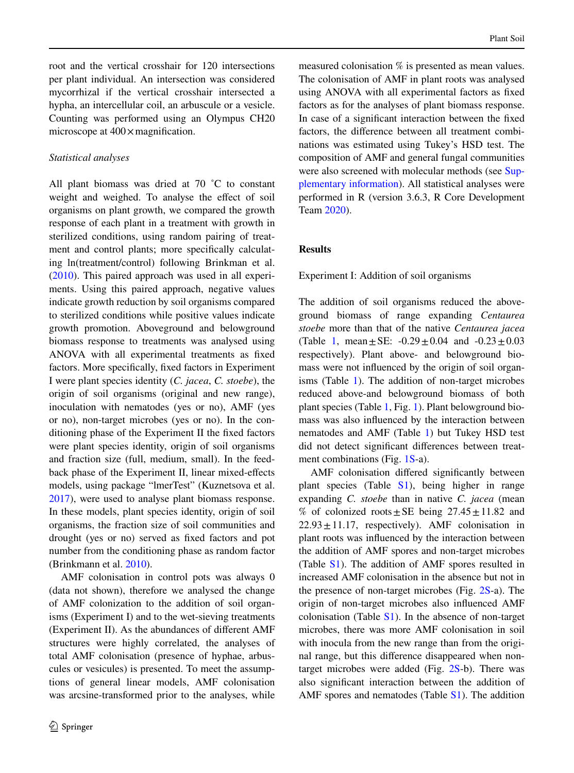root and the vertical crosshair for 120 intersections per plant individual. An intersection was considered mycorrhizal if the vertical crosshair intersected a hypha, an intercellular coil, an arbuscule or a vesicle. Counting was performed using an Olympus CH20 microscope at  $400 \times$  magnification.

## *Statistical analyses*

All plant biomass was dried at 70 ˚C to constant weight and weighed. To analyse the effect of soil organisms on plant growth, we compared the growth response of each plant in a treatment with growth in sterilized conditions, using random pairing of treatment and control plants; more specifcally calculating ln(treatment/control) following Brinkman et al. [\(2010](#page-12-20)). This paired approach was used in all experiments. Using this paired approach, negative values indicate growth reduction by soil organisms compared to sterilized conditions while positive values indicate growth promotion. Aboveground and belowground biomass response to treatments was analysed using ANOVA with all experimental treatments as fxed factors. More specifcally, fxed factors in Experiment I were plant species identity (*C. jacea*, *C. stoebe*), the origin of soil organisms (original and new range), inoculation with nematodes (yes or no), AMF (yes or no), non-target microbes (yes or no). In the conditioning phase of the Experiment II the fxed factors were plant species identity, origin of soil organisms and fraction size (full, medium, small). In the feedback phase of the Experiment II, linear mixed-effects models, using package "lmerTest" (Kuznetsova et al. [2017\)](#page-13-20), were used to analyse plant biomass response. In these models, plant species identity, origin of soil organisms, the fraction size of soil communities and drought (yes or no) served as fxed factors and pot number from the conditioning phase as random factor (Brinkmann et al. [2010\)](#page-12-20).

AMF colonisation in control pots was always 0 (data not shown), therefore we analysed the change of AMF colonization to the addition of soil organisms (Experiment I) and to the wet-sieving treatments (Experiment II). As the abundances of diferent AMF structures were highly correlated, the analyses of total AMF colonisation (presence of hyphae, arbuscules or vesicules) is presented. To meet the assumptions of general linear models, AMF colonisation was arcsine-transformed prior to the analyses, while

measured colonisation % is presented as mean values. The colonisation of AMF in plant roots was analysed using ANOVA with all experimental factors as fxed factors as for the analyses of plant biomass response. In case of a signifcant interaction between the fxed factors, the diference between all treatment combinations was estimated using Tukey's HSD test. The composition of AMF and general fungal communities were also screened with molecular methods (see Supplementary information). All statistical analyses were performed in R (version 3.6.3, R Core Development Team [2020\)](#page-13-21).

## **Results**

Experiment I: Addition of soil organisms

The addition of soil organisms reduced the aboveground biomass of range expanding *Centaurea stoebe* more than that of the native *Centaurea jacea* (Table [1,](#page-6-0) mean + SE:  $-0.29 + 0.04$  and  $-0.23 + 0.03$ respectively). Plant above- and belowground biomass were not infuenced by the origin of soil organ-isms (Table [1\)](#page-6-0). The addition of non-target microbes reduced above-and belowground biomass of both plant species (Table [1](#page-6-0), Fig. [1\)](#page-7-0). Plant belowground biomass was also infuenced by the interaction between nematodes and AMF (Table [1](#page-6-0)) but Tukey HSD test did not detect signifcant diferences between treatment combinations (Fig. 1S-a).

AMF colonisation difered signifcantly between plant species (Table S1), being higher in range expanding *C. stoebe* than in native *C. jacea* (mean % of colonized roots  $\pm$  SE being 27.45 $\pm$ 11.82 and  $22.93 \pm 11.17$ , respectively). AMF colonisation in plant roots was infuenced by the interaction between the addition of AMF spores and non-target microbes (Table S1). The addition of AMF spores resulted in increased AMF colonisation in the absence but not in the presence of non-target microbes (Fig. 2S-a). The origin of non-target microbes also infuenced AMF colonisation (Table  $S1$ ). In the absence of non-target microbes, there was more AMF colonisation in soil with inocula from the new range than from the original range, but this diference disappeared when nontarget microbes were added (Fig. 2S-b). There was also signifcant interaction between the addition of AMF spores and nematodes (Table S1). The addition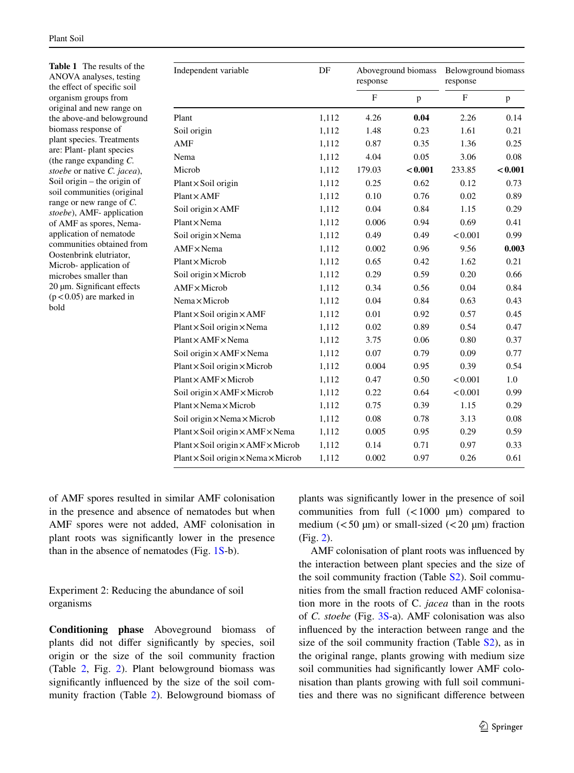<span id="page-6-0"></span>**Table 1** The results of the ANOVA analyses, testing the efect of specifc soil organism groups from original and new range on the above-and belowground biomass response of plant species. Treatments are: Plant- plant species (the range expanding *C. stoebe* or native *C. jacea*), Soil origin – the origin of soil communities (original range or new range of *C. stoebe*), AMF- application of AMF as spores, Nemaapplication of nematode communities obtained from Oostenbrink elutriator, Microb- application of microbes smaller than 20 µm. Significant effects  $(p<0.05)$  are marked in bold

| Independent variable                                 | DF    | Aboveground biomass<br>response |         | Belowground biomass<br>response |         |
|------------------------------------------------------|-------|---------------------------------|---------|---------------------------------|---------|
|                                                      |       | $\mathbf F$                     | p       | $\mathbf{F}$                    | p       |
| Plant                                                | 1,112 | 4.26                            | 0.04    | 2.26                            | 0.14    |
| Soil origin                                          | 1,112 | 1.48                            | 0.23    | 1.61                            | 0.21    |
| AMF                                                  | 1,112 | 0.87                            | 0.35    | 1.36                            | 0.25    |
| Nema                                                 | 1,112 | 4.04                            | 0.05    | 3.06                            | 0.08    |
| Microb                                               | 1,112 | 179.03                          | < 0.001 | 233.85                          | < 0.001 |
| $Plant \times Soil origin$                           | 1,112 | 0.25                            | 0.62    | 0.12                            | 0.73    |
| $Plant \times AMF$                                   | 1,112 | 0.10                            | 0.76    | 0.02                            | 0.89    |
| Soil origin × AMF                                    | 1,112 | 0.04                            | 0.84    | 1.15                            | 0.29    |
| $Plant \times Nema$                                  | 1,112 | 0.006                           | 0.94    | 0.69                            | 0.41    |
| Soil origin × Nema                                   | 1,112 | 0.49                            | 0.49    | < 0.001                         | 0.99    |
| $AMF \times Nema$                                    | 1,112 | 0.002                           | 0.96    | 9.56                            | 0.003   |
| $Plant \times Microb$                                | 1,112 | 0.65                            | 0.42    | 1.62                            | 0.21    |
| Soil origin × Microb                                 | 1,112 | 0.29                            | 0.59    | 0.20                            | 0.66    |
| $AMF \times Microb$                                  | 1,112 | 0.34                            | 0.56    | 0.04                            | 0.84    |
| Nema×Microb                                          | 1,112 | 0.04                            | 0.84    | 0.63                            | 0.43    |
| $Plant \times Soil origin \times AMF$                | 1,112 | 0.01                            | 0.92    | 0.57                            | 0.45    |
| $Plant \times Soil origin \times Nema$               | 1,112 | 0.02                            | 0.89    | 0.54                            | 0.47    |
| $Plant \times AMF \times Nema$                       | 1,112 | 3.75                            | 0.06    | 0.80                            | 0.37    |
| Soil origin $\times$ AMF $\times$ Nema               | 1,112 | 0.07                            | 0.79    | 0.09                            | 0.77    |
| $Plant \times Soil origin \times Microb$             | 1,112 | 0.004                           | 0.95    | 0.39                            | 0.54    |
| $Plant \times AMF \times Microb$                     | 1,112 | 0.47                            | 0.50    | < 0.001                         | 1.0     |
| Soil origin × AMF × Microb                           | 1,112 | 0.22                            | 0.64    | < 0.001                         | 0.99    |
| $Plant \times Nema \times Microb$                    | 1,112 | 0.75                            | 0.39    | 1.15                            | 0.29    |
| Soil origin $\times$ Nema $\times$ Microb            | 1,112 | 0.08                            | 0.78    | 3.13                            | 0.08    |
| $Plant \times Soil origin \times AMF \times Nema$    | 1,112 | 0.005                           | 0.95    | 0.29                            | 0.59    |
| Plant × Soil origin × AMF × Microb                   | 1,112 | 0.14                            | 0.71    | 0.97                            | 0.33    |
| $Plant \times Soil origin \times Nema \times Microb$ | 1,112 | 0.002                           | 0.97    | 0.26                            | 0.61    |

of AMF spores resulted in similar AMF colonisation in the presence and absence of nematodes but when AMF spores were not added, AMF colonisation in plant roots was signifcantly lower in the presence than in the absence of nematodes (Fig. 1S-b).

Experiment 2: Reducing the abundance of soil organisms

**Conditioning phase** Aboveground biomass of plants did not difer signifcantly by species, soil origin or the size of the soil community fraction (Table [2](#page-9-0), Fig. [2\)](#page-8-0). Plant belowground biomass was signifcantly infuenced by the size of the soil community fraction (Table [2](#page-9-0)). Belowground biomass of

plants was signifcantly lower in the presence of soil communities from full  $(<1000 \mu m)$  compared to medium  $\left($  < 50 µm) or small-sized  $\left($  < 20 µm) fraction (Fig. [2\)](#page-8-0).

AMF colonisation of plant roots was infuenced by the interaction between plant species and the size of the soil community fraction (Table S2). Soil communities from the small fraction reduced AMF colonisation more in the roots of C. *jacea* than in the roots of *C. stoebe* (Fig. 3S-a). AMF colonisation was also infuenced by the interaction between range and the size of the soil community fraction (Table  $S<sub>2</sub>$ ), as in the original range, plants growing with medium size soil communities had signifcantly lower AMF colonisation than plants growing with full soil communities and there was no signifcant diference between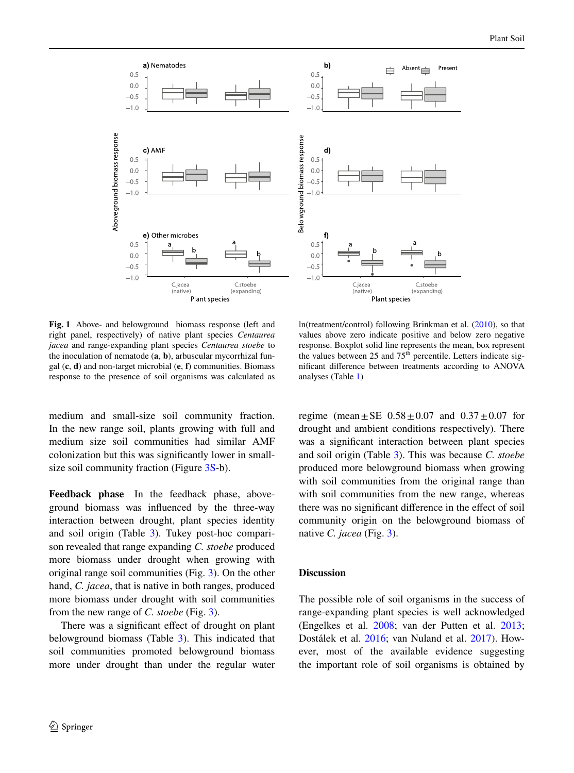a) Nematodes b) Absent Present ₿  $0.5$  $0.5$  $0.0$  $0.0$  $-0.5$  $-0.5$  $-1.0$ Above ground biomass response Belo wground biomass response c) AMF d)  $0.5$  $0.5$  $0.0$  $0.0$  $-0.5$  $-0.5$  $-1.0$ f e) Other microbes  $0.5$  $0.5$  $0.0$  $0.0$  $-0.5$  $-0.5$  $-1.0$  $-1.0$ Clacea C.jacea C.stoebe C.stoebe (native) (native) (expanding) (expanding) Plant species Plant species

<span id="page-7-0"></span>**Fig. 1** Above- and belowground biomass response (left and right panel, respectively) of native plant species *Centaurea jacea* and range-expanding plant species *Centaurea stoebe* to the inoculation of nematode (**a**, **b**), arbuscular mycorrhizal fungal (**c**, **d**) and non-target microbial (**e**, **f**) communities. Biomass response to the presence of soil organisms was calculated as

ln(treatment/control) following Brinkman et al. ([2010\)](#page-12-20), so that values above zero indicate positive and below zero negative response. Boxplot solid line represents the mean, box represent the values between 25 and  $75<sup>th</sup>$  percentile. Letters indicate signifcant diference between treatments according to ANOVA analyses (Table [1\)](#page-6-0)

medium and small-size soil community fraction. In the new range soil, plants growing with full and medium size soil communities had similar AMF colonization but this was signifcantly lower in smallsize soil community fraction (Figure 3S-b).

**Feedback phase** In the feedback phase, aboveground biomass was infuenced by the three-way interaction between drought, plant species identity and soil origin (Table [3\)](#page-9-1). Tukey post-hoc comparison revealed that range expanding *C. stoebe* produced more biomass under drought when growing with original range soil communities (Fig. [3](#page-10-0)). On the other hand, *C. jacea*, that is native in both ranges, produced more biomass under drought with soil communities from the new range of *C. stoebe* (Fig. [3\)](#page-10-0).

There was a signifcant efect of drought on plant belowground biomass (Table  $3$ ). This indicated that soil communities promoted belowground biomass more under drought than under the regular water regime (mean  $\pm$  SE 0.58 $\pm$ 0.07 and 0.37 $\pm$ 0.07 for drought and ambient conditions respectively). There was a signifcant interaction between plant species and soil origin (Table [3](#page-9-1)). This was because *C. stoebe* produced more belowground biomass when growing with soil communities from the original range than with soil communities from the new range, whereas there was no signifcant diference in the efect of soil community origin on the belowground biomass of native *C. jacea* (Fig. [3](#page-10-0)).

## **Discussion**

The possible role of soil organisms in the success of range-expanding plant species is well acknowledged (Engelkes et al. [2008](#page-12-7); van der Putten et al. [2013;](#page-13-4) Dostálek et al. [2016;](#page-12-8) van Nuland et al. [2017\)](#page-13-22). However, most of the available evidence suggesting the important role of soil organisms is obtained by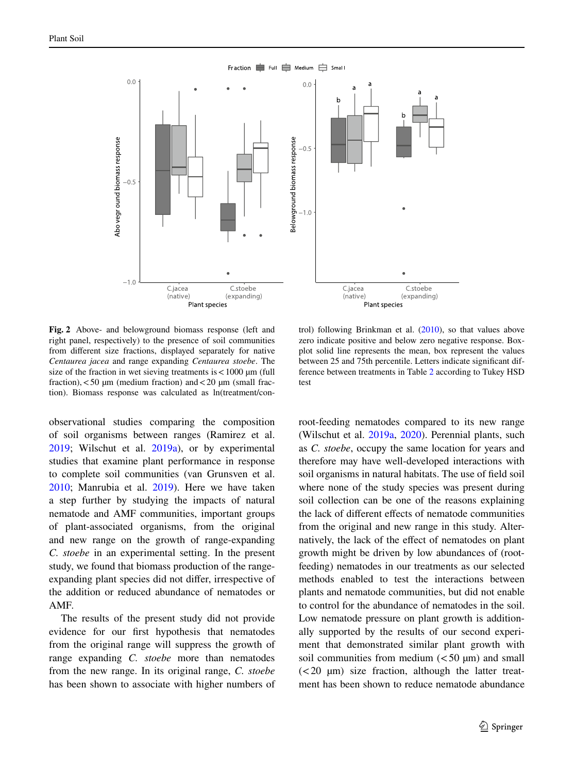

Fraction  $\blacksquare$  Full  $\blacksquare$  Medium  $\blacksquare$  Small

<span id="page-8-0"></span>**Fig. 2** Above- and belowground biomass response (left and right panel, respectively) to the presence of soil communities from diferent size fractions, displayed separately for native *Centaurea jacea* and range expanding *Centaurea stoebe*. The size of the fraction in wet sieving treatments is  $< 1000 \mu m$  (full fraction),  $<$  50  $\mu$ m (medium fraction) and  $<$  20  $\mu$ m (small fraction). Biomass response was calculated as ln(treatment/con-

observational studies comparing the composition of soil organisms between ranges (Ramirez et al. [2019;](#page-13-1) Wilschut et al. [2019a](#page-14-0)), or by experimental studies that examine plant performance in response to complete soil communities (van Grunsven et al. [2010;](#page-13-2) Manrubia et al. [2019\)](#page-13-23). Here we have taken a step further by studying the impacts of natural nematode and AMF communities, important groups of plant-associated organisms, from the original and new range on the growth of range-expanding *C. stoebe* in an experimental setting. In the present study, we found that biomass production of the rangeexpanding plant species did not difer, irrespective of the addition or reduced abundance of nematodes or AMF.

The results of the present study did not provide evidence for our frst hypothesis that nematodes from the original range will suppress the growth of range expanding *C. stoebe* more than nematodes from the new range. In its original range, *C. stoebe* has been shown to associate with higher numbers of

trol) following Brinkman et al. ([2010\)](#page-12-20), so that values above zero indicate positive and below zero negative response. Boxplot solid line represents the mean, box represent the values between 25 and 75th percentile. Letters indicate significant difference between treatments in Table [2](#page-9-0) according to Tukey HSD test

root-feeding nematodes compared to its new range (Wilschut et al. [2019a,](#page-14-0) [2020\)](#page-14-4). Perennial plants, such as *C. stoebe*, occupy the same location for years and therefore may have well-developed interactions with soil organisms in natural habitats. The use of feld soil where none of the study species was present during soil collection can be one of the reasons explaining the lack of diferent efects of nematode communities from the original and new range in this study. Alternatively, the lack of the efect of nematodes on plant growth might be driven by low abundances of (rootfeeding) nematodes in our treatments as our selected methods enabled to test the interactions between plants and nematode communities, but did not enable to control for the abundance of nematodes in the soil. Low nematode pressure on plant growth is additionally supported by the results of our second experiment that demonstrated similar plant growth with soil communities from medium  $(< 50 \mu m)$  and small  $(< 20 \mu m)$  size fraction, although the latter treatment has been shown to reduce nematode abundance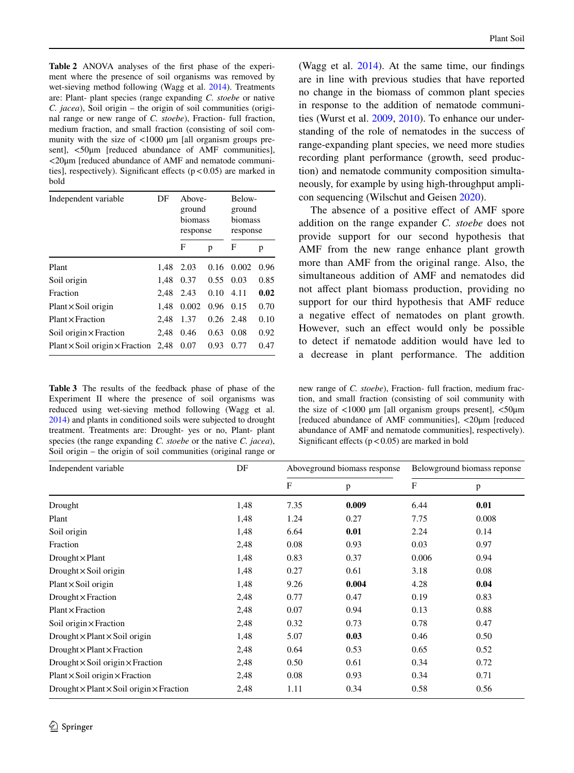<span id="page-9-0"></span>**Table 2** ANOVA analyses of the frst phase of the experiment where the presence of soil organisms was removed by wet-sieving method following (Wagg et al. [2014](#page-13-15)). Treatments are: Plant- plant species (range expanding *C. stoebe* or native *C. jacea*), Soil origin – the origin of soil communities (original range or new range of *C. stoebe*), Fraction- full fraction, medium fraction, and small fraction (consisting of soil community with the size of <1000 μm [all organism groups present], <50μm [reduced abundance of AMF communities], <20μm [reduced abundance of AMF and nematode communities], respectively). Significant effects  $(p < 0.05)$  are marked in bold

| Independent variable                       | DF   | Above-<br>ground<br>biomass<br>response |      | Below-<br>ground<br>biomass<br>response |      |
|--------------------------------------------|------|-----------------------------------------|------|-----------------------------------------|------|
|                                            |      | F                                       | p    | F                                       | p    |
| Plant                                      | 1.48 | 2.03                                    | 0.16 | 0.002                                   | 0.96 |
| Soil origin                                | 1.48 | 0.37                                    | 0.55 | 0.03                                    | 0.85 |
| Fraction                                   | 2.48 | 2.43                                    | 0.10 | 4.11                                    | 0.02 |
| $Plant \times Soil origin$                 | 1.48 | 0.002                                   | 0.96 | 0.15                                    | 0.70 |
| $Plant \times Fraction$                    | 2.48 | 1.37                                    | 0.26 | 2.48                                    | 0.10 |
| Soil origin $\times$ Fraction              | 2.48 | 0.46                                    | 0.63 | 0.08                                    | 0.92 |
| $Plant \times Soil origin \times Fraction$ | 2.48 | 0.07                                    | 0.93 | 0.77                                    | 0.47 |

<span id="page-9-1"></span>**Table 3** The results of the feedback phase of phase of the Experiment II where the presence of soil organisms was reduced using wet-sieving method following (Wagg et al. [2014\)](#page-13-15) and plants in conditioned soils were subjected to drought treatment. Treatments are: Drought- yes or no, Plant- plant species (the range expanding *C. stoebe* or the native *C. jacea*), Soil origin – the origin of soil communities (original range or

(Wagg et al. [2014\)](#page-13-15). At the same time, our findings are in line with previous studies that have reported no change in the biomass of common plant species in response to the addition of nematode communities (Wurst et al. [2009,](#page-14-5) [2010](#page-14-6)). To enhance our understanding of the role of nematodes in the success of range-expanding plant species, we need more studies recording plant performance (growth, seed production) and nematode community composition simultaneously, for example by using high-throughput amplicon sequencing (Wilschut and Geisen [2020](#page-14-1)).

The absence of a positive efect of AMF spore addition on the range expander *C. stoebe* does not provide support for our second hypothesis that AMF from the new range enhance plant growth more than AMF from the original range. Also, the simultaneous addition of AMF and nematodes did not afect plant biomass production, providing no support for our third hypothesis that AMF reduce a negative efect of nematodes on plant growth. However, such an effect would only be possible to detect if nematode addition would have led to a decrease in plant performance. The addition

new range of *C. stoebe*), Fraction- full fraction, medium fraction, and small fraction (consisting of soil community with the size of  $\langle 1000 \mu m$  [all organism groups present],  $\langle 50 \mu m$ [reduced abundance of AMF communities], <20μm [reduced abundance of AMF and nematode communities], respectively). Significant effects  $(p < 0.05)$  are marked in bold

| Independent variable                                      | DF   |            | Aboveground biomass response |             | Belowground biomass reponse |  |
|-----------------------------------------------------------|------|------------|------------------------------|-------------|-----------------------------|--|
|                                                           |      | $_{\rm F}$ | p                            | $\mathbf F$ | $\mathbf{p}$                |  |
| Drought                                                   | 1,48 | 7.35       | 0.009                        | 6.44        | 0.01                        |  |
| Plant                                                     | 1,48 | 1.24       | 0.27                         | 7.75        | 0.008                       |  |
| Soil origin                                               | 1,48 | 6.64       | 0.01                         | 2.24        | 0.14                        |  |
| Fraction                                                  | 2,48 | 0.08       | 0.93                         | 0.03        | 0.97                        |  |
| Drought $\times$ Plant                                    | 1,48 | 0.83       | 0.37                         | 0.006       | 0.94                        |  |
| Drought $\times$ Soil origin                              | 1,48 | 0.27       | 0.61                         | 3.18        | 0.08                        |  |
| $Plant \times Soil origin$                                | 1,48 | 9.26       | 0.004                        | 4.28        | 0.04                        |  |
| $Drought \times Fraction$                                 | 2,48 | 0.77       | 0.47                         | 0.19        | 0.83                        |  |
| $Plant \times Fraction$                                   | 2,48 | 0.07       | 0.94                         | 0.13        | 0.88                        |  |
| Soil origin $\times$ Fraction                             | 2,48 | 0.32       | 0.73                         | 0.78        | 0.47                        |  |
| $Drought \times Plant \times Soil origin$                 | 1,48 | 5.07       | 0.03                         | 0.46        | 0.50                        |  |
| $Drought \times Plant \times Fraction$                    | 2,48 | 0.64       | 0.53                         | 0.65        | 0.52                        |  |
| $Drought \times$ Soil origin $\times$ Fraction            | 2,48 | 0.50       | 0.61                         | 0.34        | 0.72                        |  |
| $Plant \times Soil origin \times Fraction$                | 2,48 | 0.08       | 0.93                         | 0.34        | 0.71                        |  |
| $Drought \times Plant \times Soil origin \times Fraction$ | 2,48 | 1.11       | 0.34                         | 0.58        | 0.56                        |  |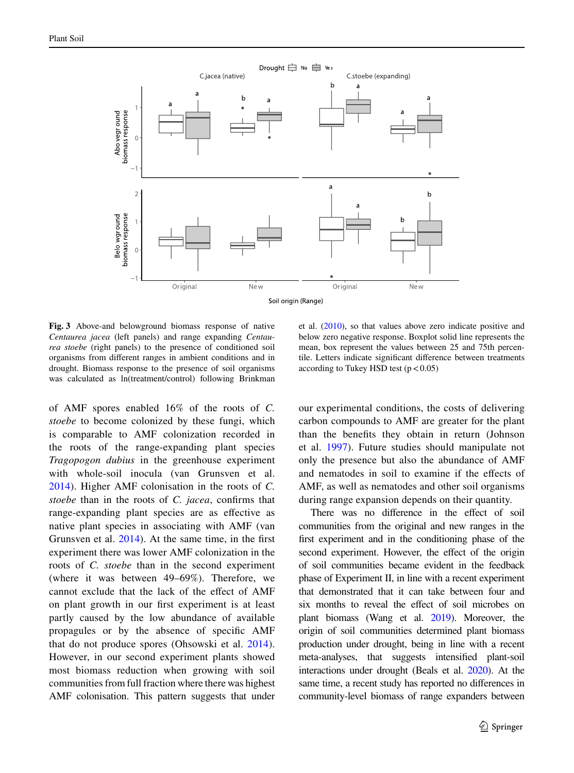

<span id="page-10-0"></span>**Fig. 3** Above-and belowground biomass response of native *Centaurea jacea* (left panels) and range expanding *Centaurea stoebe* (right panels) to the presence of conditioned soil organisms from diferent ranges in ambient conditions and in drought. Biomass response to the presence of soil organisms was calculated as ln(treatment/control) following Brinkman

of AMF spores enabled 16% of the roots of *C. stoebe* to become colonized by these fungi, which is comparable to AMF colonization recorded in the roots of the range-expanding plant species *Tragopogon dubius* in the greenhouse experiment with whole-soil inocula (van Grunsven et al. [2014](#page-13-9)). Higher AMF colonisation in the roots of *C. stoebe* than in the roots of *C. jacea*, confrms that range-expanding plant species are as efective as native plant species in associating with AMF (van Grunsven et al. [2014\)](#page-13-9). At the same time, in the frst experiment there was lower AMF colonization in the roots of *C. stoebe* than in the second experiment (where it was between 49–69%). Therefore, we cannot exclude that the lack of the efect of AMF on plant growth in our frst experiment is at least partly caused by the low abundance of available propagules or by the absence of specifc AMF that do not produce spores (Ohsowski et al. [2014](#page-13-16)). However, in our second experiment plants showed most biomass reduction when growing with soil communities from full fraction where there was highest AMF colonisation. This pattern suggests that under

et al. ([2010\)](#page-12-20), so that values above zero indicate positive and below zero negative response. Boxplot solid line represents the mean, box represent the values between 25 and 75th percentile. Letters indicate signifcant diference between treatments according to Tukey HSD test  $(p < 0.05)$ 

our experimental conditions, the costs of delivering carbon compounds to AMF are greater for the plant than the benefts they obtain in return (Johnson et al. [1997\)](#page-12-21). Future studies should manipulate not only the presence but also the abundance of AMF and nematodes in soil to examine if the efects of AMF, as well as nematodes and other soil organisms during range expansion depends on their quantity.

There was no difference in the effect of soil communities from the original and new ranges in the frst experiment and in the conditioning phase of the second experiment. However, the effect of the origin of soil communities became evident in the feedback phase of Experiment II, in line with a recent experiment that demonstrated that it can take between four and six months to reveal the efect of soil microbes on plant biomass (Wang et al. [2019\)](#page-13-24). Moreover, the origin of soil communities determined plant biomass production under drought, being in line with a recent meta-analyses, that suggests intensifed plant-soil interactions under drought (Beals et al. [2020](#page-12-22)). At the same time, a recent study has reported no diferences in community-level biomass of range expanders between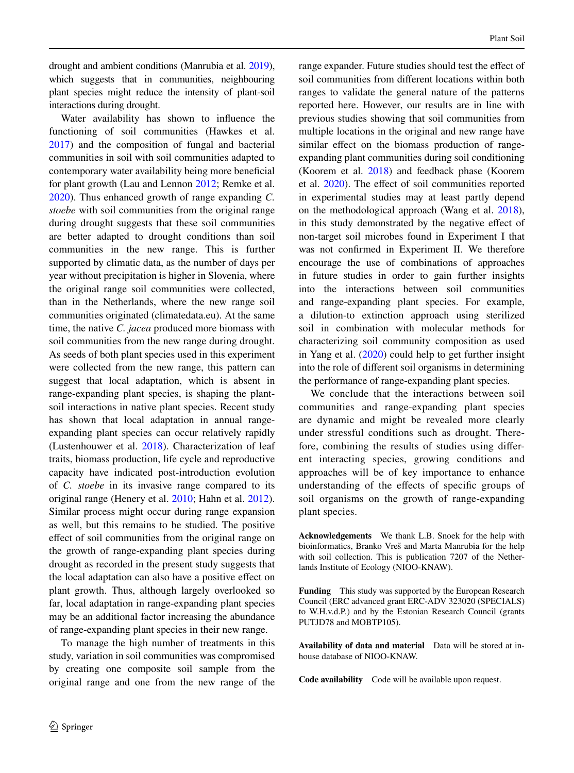drought and ambient conditions (Manrubia et al. [2019\)](#page-13-23), which suggests that in communities, neighbouring plant species might reduce the intensity of plant-soil interactions during drought.

Water availability has shown to infuence the functioning of soil communities (Hawkes et al. [2017\)](#page-12-23) and the composition of fungal and bacterial communities in soil with soil communities adapted to contemporary water availability being more benefcial for plant growth (Lau and Lennon [2012](#page-13-25); Remke et al. [2020\)](#page-13-26). Thus enhanced growth of range expanding *C. stoebe* with soil communities from the original range during drought suggests that these soil communities are better adapted to drought conditions than soil communities in the new range. This is further supported by climatic data, as the number of days per year without precipitation is higher in Slovenia, where the original range soil communities were collected, than in the Netherlands, where the new range soil communities originated (climatedata.eu). At the same time, the native *C. jacea* produced more biomass with soil communities from the new range during drought. As seeds of both plant species used in this experiment were collected from the new range, this pattern can suggest that local adaptation, which is absent in range-expanding plant species, is shaping the plantsoil interactions in native plant species. Recent study has shown that local adaptation in annual rangeexpanding plant species can occur relatively rapidly (Lustenhouwer et al. [2018](#page-13-27)). Characterization of leaf traits, biomass production, life cycle and reproductive capacity have indicated post-introduction evolution of *C. stoebe* in its invasive range compared to its original range (Henery et al. [2010;](#page-12-24) Hahn et al. [2012](#page-12-25)). Similar process might occur during range expansion as well, but this remains to be studied. The positive efect of soil communities from the original range on the growth of range-expanding plant species during drought as recorded in the present study suggests that the local adaptation can also have a positive efect on plant growth. Thus, although largely overlooked so far, local adaptation in range-expanding plant species may be an additional factor increasing the abundance of range-expanding plant species in their new range.

To manage the high number of treatments in this study, variation in soil communities was compromised by creating one composite soil sample from the original range and one from the new range of the range expander. Future studies should test the efect of soil communities from diferent locations within both ranges to validate the general nature of the patterns reported here. However, our results are in line with previous studies showing that soil communities from multiple locations in the original and new range have similar effect on the biomass production of rangeexpanding plant communities during soil conditioning (Koorem et al. [2018\)](#page-13-28) and feedback phase (Koorem et al. [2020\)](#page-13-29). The efect of soil communities reported in experimental studies may at least partly depend on the methodological approach (Wang et al. [2018](#page-14-7)), in this study demonstrated by the negative efect of non-target soil microbes found in Experiment I that was not confrmed in Experiment II. We therefore encourage the use of combinations of approaches in future studies in order to gain further insights into the interactions between soil communities and range-expanding plant species. For example, a dilution-to extinction approach using sterilized soil in combination with molecular methods for characterizing soil community composition as used in Yang et al. [\(2020](#page-14-8)) could help to get further insight into the role of diferent soil organisms in determining the performance of range-expanding plant species.

We conclude that the interactions between soil communities and range-expanding plant species are dynamic and might be revealed more clearly under stressful conditions such as drought. Therefore, combining the results of studies using diferent interacting species, growing conditions and approaches will be of key importance to enhance understanding of the efects of specifc groups of soil organisms on the growth of range-expanding plant species.

**Acknowledgements** We thank L.B. Snoek for the help with bioinformatics, Branko Vreš and Marta Manrubia for the help with soil collection. This is publication 7207 of the Netherlands Institute of Ecology (NIOO-KNAW).

**Funding** This study was supported by the European Research Council (ERC advanced grant ERC-ADV 323020 (SPECIALS) to W.H.v.d.P.) and by the Estonian Research Council (grants PUTJD78 and MOBTP105).

**Availability of data and material** Data will be stored at inhouse database of NIOO-KNAW.

**Code availability** Code will be available upon request.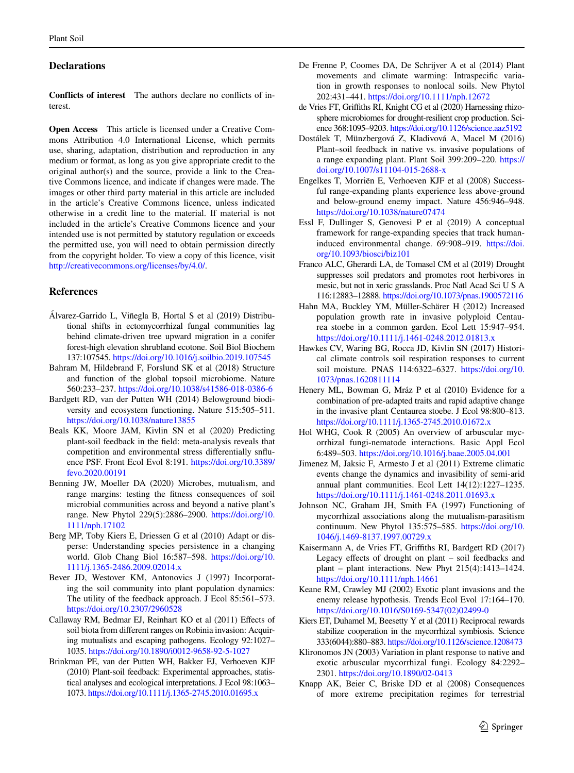## **Declarations**

**Conflicts of interest** The authors declare no conficts of interest.

**Open Access** This article is licensed under a Creative Commons Attribution 4.0 International License, which permits use, sharing, adaptation, distribution and reproduction in any medium or format, as long as you give appropriate credit to the original author(s) and the source, provide a link to the Creative Commons licence, and indicate if changes were made. The images or other third party material in this article are included in the article's Creative Commons licence, unless indicated otherwise in a credit line to the material. If material is not included in the article's Creative Commons licence and your intended use is not permitted by statutory regulation or exceeds the permitted use, you will need to obtain permission directly from the copyright holder. To view a copy of this licence, visit <http://creativecommons.org/licenses/by/4.0/>.

#### **References**

- <span id="page-12-1"></span>Álvarez-Garrido L, Viñegla B, Hortal S et al (2019) Distributional shifts in ectomycorrhizal fungal communities lag behind climate-driven tree upward migration in a conifer forest-high elevation shrubland ecotone. Soil Biol Biochem 137:107545. <https://doi.org/10.1016/j.soilbio.2019.107545>
- <span id="page-12-2"></span>Bahram M, Hildebrand F, Forslund SK et al (2018) Structure and function of the global topsoil microbiome. Nature 560:233–237. <https://doi.org/10.1038/s41586-018-0386-6>
- <span id="page-12-10"></span>Bardgett RD, van der Putten WH (2014) Belowground biodiversity and ecosystem functioning. Nature 515:505–511. <https://doi.org/10.1038/nature13855>
- <span id="page-12-22"></span>Beals KK, Moore JAM, Kivlin SN et al (2020) Predicting plant-soil feedback in the feld: meta-analysis reveals that competition and environmental stress diferentially snfuence PSF. Front Ecol Evol 8:191. [https://doi.org/10.3389/](https://doi.org/10.3389/fevo.2020.00191) [fevo.2020.00191](https://doi.org/10.3389/fevo.2020.00191)
- <span id="page-12-3"></span>Benning JW, Moeller DA (2020) Microbes, mutualism, and range margins: testing the ftness consequences of soil microbial communities across and beyond a native plant's range. New Phytol 229(5):2886–2900. [https://doi.org/10.](https://doi.org/10.1111/nph.17102) [1111/nph.17102](https://doi.org/10.1111/nph.17102)
- <span id="page-12-0"></span>Berg MP, Toby Kiers E, Driessen G et al (2010) Adapt or disperse: Understanding species persistence in a changing world. Glob Chang Biol 16:587–598. [https://doi.org/10.](https://doi.org/10.1111/j.1365-2486.2009.02014.x) [1111/j.1365-2486.2009.02014.x](https://doi.org/10.1111/j.1365-2486.2009.02014.x)
- <span id="page-12-6"></span>Bever JD, Westover KM, Antonovics J (1997) Incorporating the soil community into plant population dynamics: The utility of the feedback approach. J Ecol 85:561–573. <https://doi.org/10.2307/2960528>
- <span id="page-12-11"></span>Callaway RM, Bedmar EJ, Reinhart KO et al (2011) Efects of soil biota from diferent ranges on Robinia invasion: Acquiring mutualists and escaping pathogens. Ecology 92:1027– 1035. <https://doi.org/10.1890/i0012-9658-92-5-1027>
- <span id="page-12-20"></span>Brinkman PE, van der Putten WH, Bakker EJ, Verhoeven KJF (2010) Plant-soil feedback: Experimental approaches, statistical analyses and ecological interpretations. J Ecol 98:1063– 1073.<https://doi.org/10.1111/j.1365-2745.2010.01695.x>
- <span id="page-12-5"></span>De Frenne P, Coomes DA, De Schrijver A et al (2014) Plant movements and climate warming: Intraspecifc variation in growth responses to nonlocal soils. New Phytol 202:431–441.<https://doi.org/10.1111/nph.12672>
- <span id="page-12-15"></span>de Vries FT, Grifths RI, Knight CG et al (2020) Harnessing rhizosphere microbiomes for drought-resilient crop production. Science 368:1095–9203.<https://doi.org/10.1126/science.aaz5192>
- <span id="page-12-8"></span>Dostálek T, Münzbergová Z, Kladivová A, Macel M (2016) Plant–soil feedback in native vs. invasive populations of a range expanding plant. Plant Soil 399:209–220. [https://](https://doi.org/10.1007/s11104-015-2688-x) [doi.org/10.1007/s11104-015-2688-x](https://doi.org/10.1007/s11104-015-2688-x)
- <span id="page-12-7"></span>Engelkes T, Morriën E, Verhoeven KJF et al (2008) Successful range-expanding plants experience less above-ground and below-ground enemy impact. Nature 456:946–948. <https://doi.org/10.1038/nature07474>
- <span id="page-12-4"></span>Essl F, Dullinger S, Genovesi P et al (2019) A conceptual framework for range-expanding species that track humaninduced environmental change. 69:908–919. [https://doi.](https://doi.org/10.1093/biosci/biz101) [org/10.1093/biosci/biz101](https://doi.org/10.1093/biosci/biz101)
- <span id="page-12-16"></span>Franco ALC, Gherardi LA, de Tomasel CM et al (2019) Drought suppresses soil predators and promotes root herbivores in mesic, but not in xeric grasslands. Proc Natl Acad Sci U S A 116:12883–12888.<https://doi.org/10.1073/pnas.1900572116>
- <span id="page-12-25"></span>Hahn MA, Buckley YM, Müller-Schärer H (2012) Increased population growth rate in invasive polyploid Centaurea stoebe in a common garden. Ecol Lett 15:947–954. <https://doi.org/10.1111/j.1461-0248.2012.01813.x>
- <span id="page-12-23"></span>Hawkes CV, Waring BG, Rocca JD, Kivlin SN (2017) Historical climate controls soil respiration responses to current soil moisture. PNAS 114:6322–6327. [https://doi.org/10.](https://doi.org/10.1073/pnas.1620811114) [1073/pnas.1620811114](https://doi.org/10.1073/pnas.1620811114)
- <span id="page-12-24"></span>Henery ML, Bowman G, Mráz P et al (2010) Evidence for a combination of pre-adapted traits and rapid adaptive change in the invasive plant Centaurea stoebe. J Ecol 98:800–813. <https://doi.org/10.1111/j.1365-2745.2010.01672.x>
- <span id="page-12-19"></span>Hol WHG, Cook R (2005) An overview of arbuscular mycorrhizal fungi-nematode interactions. Basic Appl Ecol 6:489–503. <https://doi.org/10.1016/j.baae.2005.04.001>
- <span id="page-12-13"></span>Jimenez M, Jaksic F, Armesto J et al (2011) Extreme climatic events change the dynamics and invasibility of semi-arid annual plant communities. Ecol Lett 14(12):1227–1235. <https://doi.org/10.1111/j.1461-0248.2011.01693.x>
- <span id="page-12-21"></span>Johnson NC, Graham JH, Smith FA (1997) Functioning of mycorrhizal associations along the mutualism-parasitism continuum. New Phytol 135:575–585. [https://doi.org/10.](https://doi.org/10.1046/j.1469-8137.1997.00729.x) [1046/j.1469-8137.1997.00729.x](https://doi.org/10.1046/j.1469-8137.1997.00729.x)
- <span id="page-12-14"></span>Kaisermann A, de Vries FT, Grifths RI, Bardgett RD (2017) Legacy efects of drought on plant – soil feedbacks and plant – plant interactions. New Phyt 215(4):1413–1424. <https://doi.org/10.1111/nph.14661>
- <span id="page-12-9"></span>Keane RM, Crawley MJ (2002) Exotic plant invasions and the enemy release hypothesis. Trends Ecol Evol 17:164–170. [https://doi.org/10.1016/S0169-5347\(02\)02499-0](https://doi.org/10.1016/S0169-5347(02)02499-0)
- <span id="page-12-18"></span>Kiers ET, Duhamel M, Beesetty Y et al (2011) Reciprocal rewards stabilize cooperation in the mycorrhizal symbiosis. Science 333(6044):880–883. <https://doi.org/10.1126/science.1208473>
- <span id="page-12-17"></span>Klironomos JN (2003) Variation in plant response to native and exotic arbuscular mycorrhizal fungi. Ecology 84:2292– 2301.<https://doi.org/10.1890/02-0413>
- <span id="page-12-12"></span>Knapp AK, Beier C, Briske DD et al (2008) Consequences of more extreme precipitation regimes for terrestrial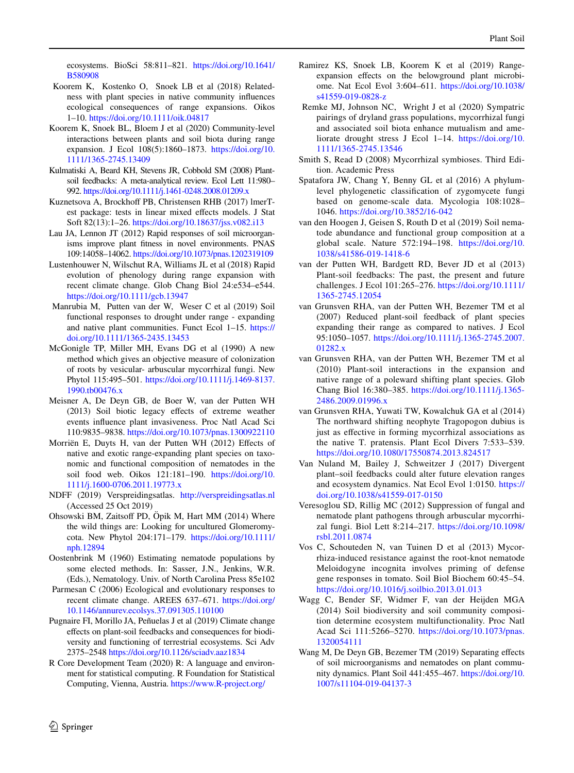ecosystems. BioSci 58:811–821. [https://doi.org/10.1641/](https://doi.org/10.1641/B580908) [B580908](https://doi.org/10.1641/B580908)

- <span id="page-13-28"></span> Koorem K, Kostenko O, Snoek LB et al (2018) Relatedness with plant species in native community infuences ecological consequences of range expansions. Oikos 1–10.<https://doi.org/10.1111/oik.04817>
- <span id="page-13-29"></span>Koorem K, Snoek BL, Bloem J et al (2020) Community-level interactions between plants and soil biota during range expansion. J Ecol 108(5):1860–1873. [https://doi.org/10.](https://doi.org/10.1111/1365-2745.13409) [1111/1365-2745.13409](https://doi.org/10.1111/1365-2745.13409)
- <span id="page-13-3"></span>Kulmatiski A, Beard KH, Stevens JR, Cobbold SM (2008) Plantsoil feedbacks: A meta-analytical review. Ecol Lett 11:980– 992. <https://doi.org/10.1111/j.1461-0248.2008.01209.x>
- <span id="page-13-20"></span>Kuznetsova A, Brockhoff PB, Christensen RHB (2017) lmerTest package: tests in linear mixed efects models. J Stat Soft 82(13):1–26.<https://doi.org/10.18637/jss.v082.i13>
- <span id="page-13-25"></span>Lau JA, Lennon JT (2012) Rapid responses of soil microorganisms improve plant ftness in novel environments. PNAS 109:14058–14062.<https://doi.org/10.1073/pnas.1202319109>
- <span id="page-13-27"></span>Lustenhouwer N, Wilschut RA, Williams JL et al (2018) Rapid evolution of phenology during range expansion with recent climate change. Glob Chang Biol 24:e534–e544. <https://doi.org/10.1111/gcb.13947>
- <span id="page-13-23"></span> Manrubia M, Putten van der W, Weser C et al (2019) Soil functional responses to drought under range - expanding and native plant communities. Funct Ecol 1–15. [https://](https://doi.org/10.1111/1365-2435.13453) [doi.org/10.1111/1365-2435.13453](https://doi.org/10.1111/1365-2435.13453)
- <span id="page-13-19"></span>McGonigle TP, Miller MH, Evans DG et al (1990) A new method which gives an objective measure of colonization of roots by vesicular- arbuscular mycorrhizal fungi. New Phytol 115:495–501. [https://doi.org/10.1111/j.1469-8137.](https://doi.org/10.1111/j.1469-8137.1990.tb00476.x) [1990.tb00476.x](https://doi.org/10.1111/j.1469-8137.1990.tb00476.x)
- <span id="page-13-14"></span>Meisner A, De Deyn GB, de Boer W, van der Putten WH (2013) Soil biotic legacy efects of extreme weather events infuence plant invasiveness. Proc Natl Acad Sci 110:9835–9838.<https://doi.org/10.1073/pnas.1300922110>
- <span id="page-13-8"></span>Morriën E, Duyts H, van der Putten WH (2012) Efects of native and exotic range-expanding plant species on taxonomic and functional composition of nematodes in the soil food web. Oikos 121:181–190. [https://doi.org/10.](https://doi.org/10.1111/j.1600-0706.2011.19773.x) [1111/j.1600-0706.2011.19773.x](https://doi.org/10.1111/j.1600-0706.2011.19773.x)
- <span id="page-13-17"></span>NDFF (2019) Verspreidingsatlas. <http://verspreidingsatlas.nl> (Accessed 25 Oct 2019)
- <span id="page-13-16"></span>Ohsowski BM, Zaitsoff PD, Öpik M, Hart MM (2014) Where the wild things are: Looking for uncultured Glomeromycota. New Phytol 204:171–179. [https://doi.org/10.1111/](https://doi.org/10.1111/nph.12894) [nph.12894](https://doi.org/10.1111/nph.12894)
- <span id="page-13-18"></span>Oostenbrink M (1960) Estimating nematode populations by some elected methods. In: Sasser, J.N., Jenkins, W.R. (Eds.), Nematology. Univ. of North Carolina Press 85e102
- <span id="page-13-0"></span> Parmesan C (2006) Ecological and evolutionary responses to recent climate change. AREES 637–671. [https://doi.org/](https://doi.org/10.1146/annurev.ecolsys.37.091305.110100) [10.1146/annurev.ecolsys.37.091305.110100](https://doi.org/10.1146/annurev.ecolsys.37.091305.110100)
- <span id="page-13-6"></span>Pugnaire FI, Morillo JA, Peñuelas J et al (2019) Climate change efects on plant-soil feedbacks and consequences for biodiversity and functioning of terrestrial ecosystems. Sci Adv 2375–2548 <https://doi.org/10.1126/sciadv.aaz1834>
- <span id="page-13-21"></span>R Core Development Team (2020) R: A language and environment for statistical computing. R Foundation for Statistical Computing, Vienna, Austria. <https://www.R-project.org/>
- <span id="page-13-1"></span>Ramirez KS, Snoek LB, Koorem K et al (2019) Rangeexpansion effects on the belowground plant microbiome. Nat Ecol Evol 3:604–611. [https://doi.org/10.1038/](https://doi.org/10.1038/s41559-019-0828-z) [s41559-019-0828-z](https://doi.org/10.1038/s41559-019-0828-z)
- <span id="page-13-26"></span> Remke MJ, Johnson NC, Wright J et al (2020) Sympatric pairings of dryland grass populations, mycorrhizal fungi and associated soil biota enhance mutualism and ameliorate drought stress J Ecol 1–14. [https://doi.org/10.](https://doi.org/10.1111/1365-2745.13546) [1111/1365-2745.13546](https://doi.org/10.1111/1365-2745.13546)
- <span id="page-13-11"></span>Smith S, Read D (2008) Mycorrhizal symbioses. Third Edition. Academic Press
- <span id="page-13-10"></span>Spatafora JW, Chang Y, Benny GL et al (2016) A phylumlevel phylogenetic classifcation of zygomycete fungi based on genome-scale data. Mycologia 108:1028– 1046. <https://doi.org/10.3852/16-042>
- <span id="page-13-7"></span>van den Hoogen J, Geisen S, Routh D et al (2019) Soil nematode abundance and functional group composition at a global scale. Nature 572:194–198. [https://doi.org/10.](https://doi.org/10.1038/s41586-019-1418-6) [1038/s41586-019-1418-6](https://doi.org/10.1038/s41586-019-1418-6)
- <span id="page-13-4"></span>van der Putten WH, Bardgett RD, Bever JD et al (2013) Plant-soil feedbacks: The past, the present and future challenges. J Ecol 101:265–276. [https://doi.org/10.1111/](https://doi.org/10.1111/1365-2745.12054) [1365-2745.12054](https://doi.org/10.1111/1365-2745.12054)
- <span id="page-13-5"></span>van Grunsven RHA, van der Putten WH, Bezemer TM et al (2007) Reduced plant-soil feedback of plant species expanding their range as compared to natives. J Ecol 95:1050–1057. [https://doi.org/10.1111/j.1365-2745.2007.](https://doi.org/10.1111/j.1365-2745.2007.01282.x) [01282.x](https://doi.org/10.1111/j.1365-2745.2007.01282.x)
- <span id="page-13-2"></span>van Grunsven RHA, van der Putten WH, Bezemer TM et al (2010) Plant-soil interactions in the expansion and native range of a poleward shifting plant species. Glob Chang Biol 16:380–385. [https://doi.org/10.1111/j.1365-](https://doi.org/10.1111/j.1365-2486.2009.01996.x) [2486.2009.01996.x](https://doi.org/10.1111/j.1365-2486.2009.01996.x)
- <span id="page-13-9"></span>van Grunsven RHA, Yuwati TW, Kowalchuk GA et al (2014) The northward shifting neophyte Tragopogon dubius is just as efective in forming mycorrhizal associations as the native T. pratensis. Plant Ecol Divers 7:533–539. <https://doi.org/10.1080/17550874.2013.824517>
- <span id="page-13-22"></span>Van Nuland M, Bailey J, Schweitzer J (2017) Divergent plant–soil feedbacks could alter future elevation ranges and ecosystem dynamics. Nat Ecol Evol 1:0150. [https://](https://doi.org/10.1038/s41559-017-0150) [doi.org/10.1038/s41559-017-0150](https://doi.org/10.1038/s41559-017-0150)
- <span id="page-13-12"></span>Veresoglou SD, Rillig MC (2012) Suppression of fungal and nematode plant pathogens through arbuscular mycorrhizal fungi. Biol Lett 8:214–217. [https://doi.org/10.1098/](https://doi.org/10.1098/rsbl.2011.0874) [rsbl.2011.0874](https://doi.org/10.1098/rsbl.2011.0874)
- <span id="page-13-13"></span>Vos C, Schouteden N, van Tuinen D et al (2013) Mycorrhiza-induced resistance against the root-knot nematode Meloidogyne incognita involves priming of defense gene responses in tomato. Soil Biol Biochem 60:45–54. <https://doi.org/10.1016/j.soilbio.2013.01.013>
- <span id="page-13-15"></span>Wagg C, Bender SF, Widmer F, van der Heijden MGA (2014) Soil biodiversity and soil community composition determine ecosystem multifunctionality. Proc Natl Acad Sci 111:5266–5270. [https://doi.org/10.1073/pnas.](https://doi.org/10.1073/pnas.1320054111) [1320054111](https://doi.org/10.1073/pnas.1320054111)
- <span id="page-13-24"></span>Wang M, De Deyn GB, Bezemer TM (2019) Separating efects of soil microorganisms and nematodes on plant community dynamics. Plant Soil 441:455–467. [https://doi.org/10.](https://doi.org/10.1007/s11104-019-04137-3) [1007/s11104-019-04137-3](https://doi.org/10.1007/s11104-019-04137-3)